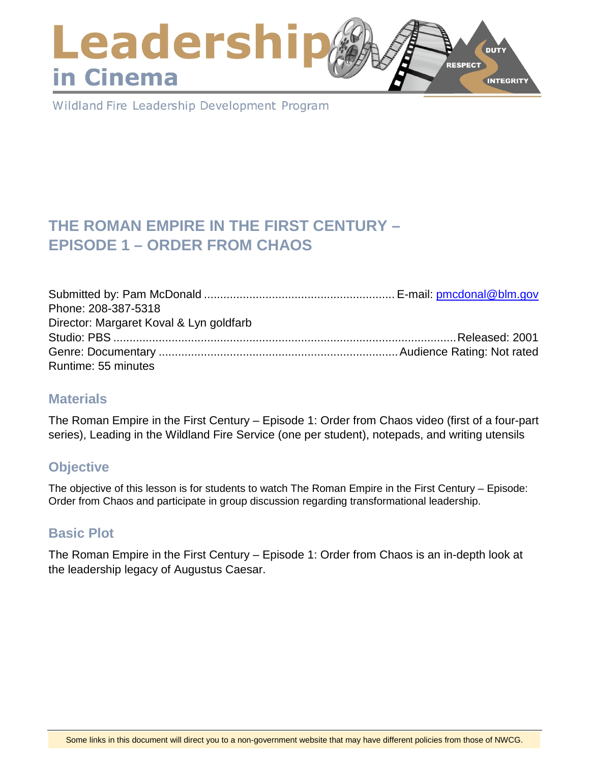## Leadershi **DUTY RESPECT** in Cinema **INTEGRITY**

Wildland Fire Leadership Development Program

# **THE ROMAN EMPIRE IN THE FIRST CENTURY – EPISODE 1 – ORDER FROM CHAOS**

| Phone: 208-387-5318                     |  |
|-----------------------------------------|--|
| Director: Margaret Koval & Lyn goldfarb |  |
|                                         |  |
|                                         |  |
| Runtime: 55 minutes                     |  |

#### **Materials**

The Roman Empire in the First Century – Episode 1: Order from Chaos video (first of a four-part series), Leading in the Wildland Fire Service (one per student), notepads, and writing utensils

### **Objective**

The objective of this lesson is for students to watch The Roman Empire in the First Century – Episode: Order from Chaos and participate in group discussion regarding transformational leadership.

### **Basic Plot**

The Roman Empire in the First Century – Episode 1: Order from Chaos is an in-depth look at the leadership legacy of Augustus Caesar.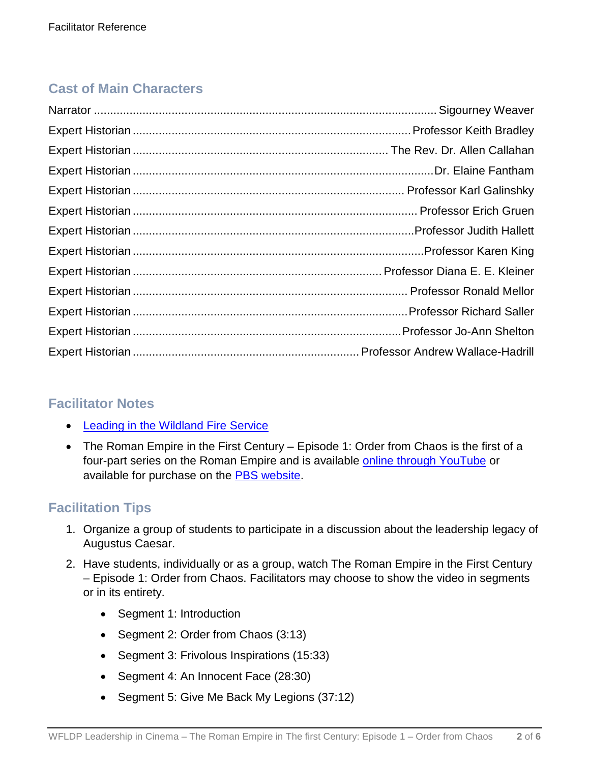# **Cast of Main Characters**

### **Facilitator Notes**

- [Leading in the Wildland Fire Service](https://www.nwcg.gov/publications/494-2)
- The Roman Empire in the First Century Episode 1: Order from Chaos is the first of a four-part series on the Roman Empire and is available [online through YouTube](https://www.youtube.com/watch?v=FOTjDpDay30) or available for purchase on the [PBS website.](http://www.shoppbs.org/product/index.jsp?productId=1822748&cp=&sr=1&kw=roman+empire&origkw=roman+empire&parentPage=search)

# **Facilitation Tips**

- 1. Organize a group of students to participate in a discussion about the leadership legacy of Augustus Caesar.
- 2. Have students, individually or as a group, watch The Roman Empire in the First Century – Episode 1: Order from Chaos. Facilitators may choose to show the video in segments or in its entirety.
	- Segment 1: Introduction
	- Segment 2: Order from Chaos (3:13)
	- Segment 3: Frivolous Inspirations (15:33)
	- Segment 4: An Innocent Face (28:30)
	- Segment 5: Give Me Back My Legions (37:12)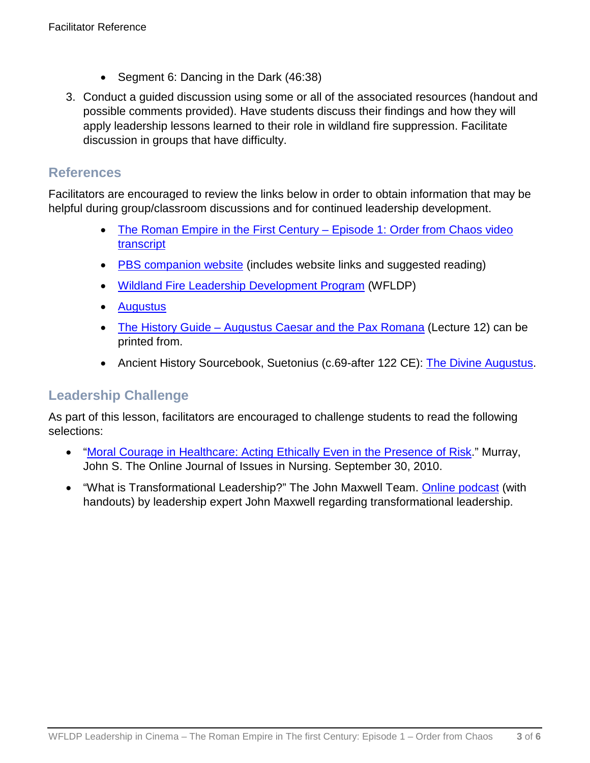- Segment 6: Dancing in the Dark (46:38)
- 3. Conduct a guided discussion using some or all of the associated resources (handout and possible comments provided). Have students discuss their findings and how they will apply leadership lessons learned to their role in wildland fire suppression. Facilitate discussion in groups that have difficulty.

#### **References**

Facilitators are encouraged to review the links below in order to obtain information that may be helpful during group/classroom discussions and for continued leadership development.

- [The Roman Empire in the First Century –](http://www.pbs.org/empires/romans/series/transcript1.html) Episode 1: Order from Chaos video [transcript](http://www.pbs.org/empires/romans/series/transcript1.html)
- [PBS companion website](http://www.pbs.org/empires/romans/index.html) (includes website links and suggested reading)
- [Wildland Fire Leadership Development Program](https://www.fireleadership.gov/) (WFLDP)
- [Augustus](https://www.youtube.com/watch?v=EgbbPYE-Ics)
- The History Guide [Augustus Caesar and the Pax Romana](http://www.historyguide.org/ancient/lecture12b.html) (Lecture 12) can be printed from.
- Ancient History Sourcebook, Suetonius (c.69-after 122 CE): [The Divine Augustus.](http://www.fordham.edu/halsall/ancient/suetonius-augustus.asp)

#### **Leadership Challenge**

As part of this lesson, facilitators are encouraged to challenge students to read the following selections:

- ["Moral Courage in Healthcare: Acting Ethically Even in the Presence of Risk.](http://www.nursingworld.org/MainMenuCategories/EthicsStandards/Resources/Courage-and-Distress/Moral-Courage-and-Risk.html)" Murray, John S. The Online Journal of Issues in Nursing. September 30, 2010.
- "What is Transformational Leadership?" The John Maxwell Team. [Online podcast](http://joinjohnlive.com/) (with handouts) by leadership expert John Maxwell regarding transformational leadership.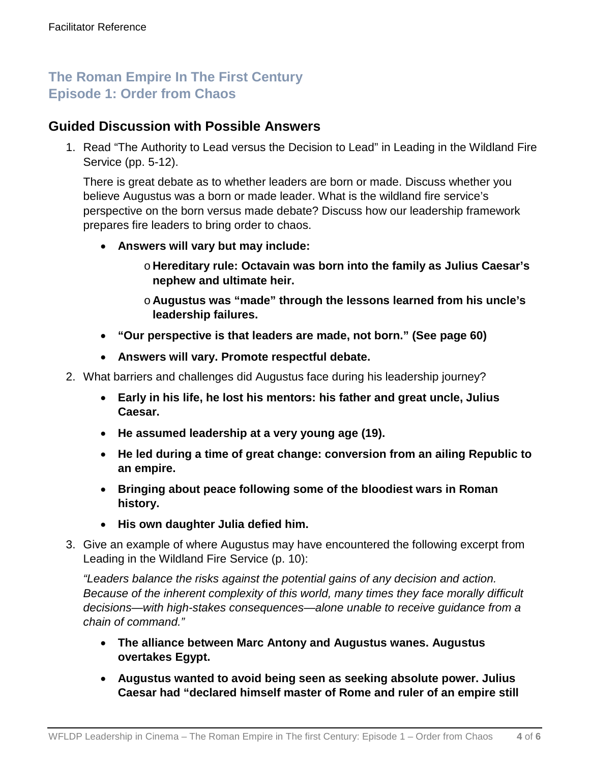# **The Roman Empire In The First Century Episode 1: Order from Chaos**

### **Guided Discussion with Possible Answers**

1. Read "The Authority to Lead versus the Decision to Lead" in Leading in the Wildland Fire Service (pp. 5-12).

There is great debate as to whether leaders are born or made. Discuss whether you believe Augustus was a born or made leader. What is the wildland fire service's perspective on the born versus made debate? Discuss how our leadership framework prepares fire leaders to bring order to chaos.

- **Answers will vary but may include:**
	- o **Hereditary rule: Octavain was born into the family as Julius Caesar's nephew and ultimate heir.**
	- o **Augustus was "made" through the lessons learned from his uncle's leadership failures.**
- **"Our perspective is that leaders are made, not born." (See page 60)**
- **Answers will vary. Promote respectful debate.**
- 2. What barriers and challenges did Augustus face during his leadership journey?
	- **Early in his life, he lost his mentors: his father and great uncle, Julius Caesar.**
	- **He assumed leadership at a very young age (19).**
	- **He led during a time of great change: conversion from an ailing Republic to an empire.**
	- **Bringing about peace following some of the bloodiest wars in Roman history.**
	- **His own daughter Julia defied him.**
- 3. Give an example of where Augustus may have encountered the following excerpt from Leading in the Wildland Fire Service (p. 10):

*"Leaders balance the risks against the potential gains of any decision and action. Because of the inherent complexity of this world, many times they face morally difficult decisions—with high-stakes consequences—alone unable to receive guidance from a chain of command."*

- **The alliance between Marc Antony and Augustus wanes. Augustus overtakes Egypt.**
- **Augustus wanted to avoid being seen as seeking absolute power. Julius Caesar had "declared himself master of Rome and ruler of an empire still**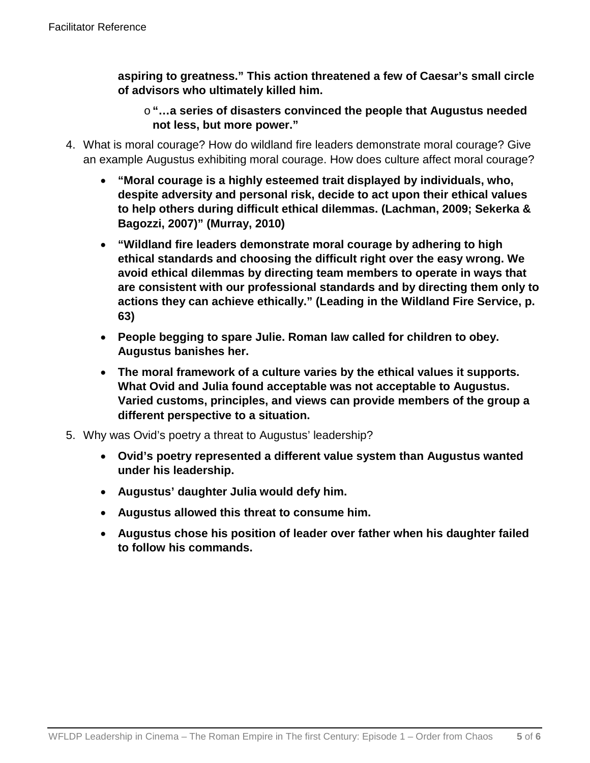**aspiring to greatness." This action threatened a few of Caesar's small circle of advisors who ultimately killed him.**

o **"…a series of disasters convinced the people that Augustus needed not less, but more power."**

- 4. What is moral courage? How do wildland fire leaders demonstrate moral courage? Give an example Augustus exhibiting moral courage. How does culture affect moral courage?
	- **"Moral courage is a highly esteemed trait displayed by individuals, who, despite adversity and personal risk, decide to act upon their ethical values to help others during difficult ethical dilemmas. (Lachman, 2009; Sekerka & Bagozzi, 2007)" (Murray, 2010)**
	- **"Wildland fire leaders demonstrate moral courage by adhering to high ethical standards and choosing the difficult right over the easy wrong. We avoid ethical dilemmas by directing team members to operate in ways that are consistent with our professional standards and by directing them only to actions they can achieve ethically." (Leading in the Wildland Fire Service, p. 63)**
	- **People begging to spare Julie. Roman law called for children to obey. Augustus banishes her.**
	- **The moral framework of a culture varies by the ethical values it supports. What Ovid and Julia found acceptable was not acceptable to Augustus. Varied customs, principles, and views can provide members of the group a different perspective to a situation.**
- 5. Why was Ovid's poetry a threat to Augustus' leadership?
	- **Ovid's poetry represented a different value system than Augustus wanted under his leadership.**
	- **Augustus' daughter Julia would defy him.**
	- **Augustus allowed this threat to consume him.**
	- **Augustus chose his position of leader over father when his daughter failed to follow his commands.**